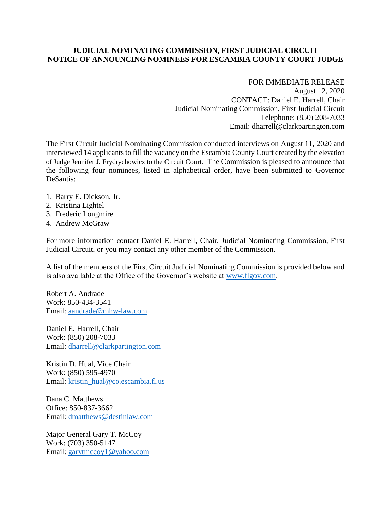## **JUDICIAL NOMINATING COMMISSION, FIRST JUDICIAL CIRCUIT NOTICE OF ANNOUNCING NOMINEES FOR ESCAMBIA COUNTY COURT JUDGE**

## FOR IMMEDIATE RELEASE

August 12, 2020 CONTACT: Daniel E. Harrell, Chair Judicial Nominating Commission, First Judicial Circuit Telephone: (850) 208-7033 Email: dharrell@clarkpartington.com

The First Circuit Judicial Nominating Commission conducted interviews on August 11, 2020 and interviewed 14 applicants to fill the vacancy on the Escambia County Court created by the elevation of Judge Jennifer J. Frydrychowicz to the Circuit Court. The Commission is pleased to announce that the following four nominees, listed in alphabetical order, have been submitted to Governor DeSantis:

- 1. Barry E. Dickson, Jr.
- 2. Kristina Lightel
- 3. Frederic Longmire
- 4. Andrew McGraw

For more information contact Daniel E. Harrell, Chair, Judicial Nominating Commission, First Judicial Circuit, or you may contact any other member of the Commission.

A list of the members of the First Circuit Judicial Nominating Commission is provided below and is also available at the Office of the Governor's website at [www.flgov.com.](http://www.flgov.com/)

Robert A. Andrade Work: 850-434-3541 Email: [aandrade@mhw-law.com](mailto:aandrade@mhw-law.com)

Daniel E. Harrell, Chair Work: (850) 208-7033 Email: [dharrell@clarkpartington.com](mailto:dharrell@clarkpartington.com)

Kristin D. Hual, Vice Chair Work: (850) 595-4970 Email: [kristin\\_hual@co.escambia.fl.us](mailto:kristin_hual@co.escambia.fl.us)

Dana C. Matthews Office: 850-837-3662 Email: [dmatthews@destinlaw.com](mailto:dmatthews@destinlaw.com)

Major General Gary T. McCoy Work: (703) 350-5147 Email: [garytmccoy1@yahoo.com](mailto:garytmccoy1@yahoo.com)